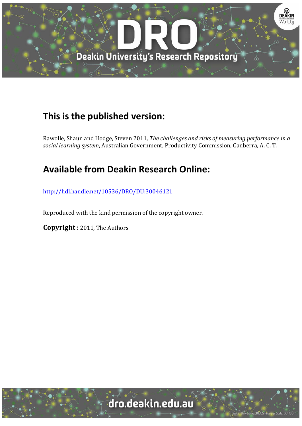

# **This is the published version:**

Rawolle, Shaun and Hodge, Steven 2011*, The challenges and risks of measuring performance in a social learning system*, Australian Government, Productivity Commission, Canberra, A. C. T. 

# **Available from Deakin Research Online:**

http://hdl.handle.net/10536/DRO/DU:30046121

Reproduced with the kind permission of the copyright owner.

**Copyright** : 2011, The Authors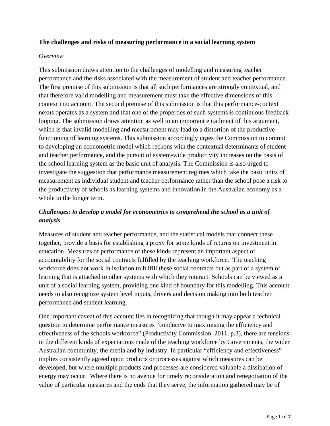#### **The challenges and risks of measuring performance in a social learning system**

#### *Overview*

This submission draws attention to the challenges of modelling and measuring teacher performance and the risks associated with the measurement of student and teacher performance. The first premise of this submission is that all such performances are strongly contextual, and that therefore valid modelling and measurement must take the effective dimensions of this context into account. The second premise of this submission is that this performance-context nexus operates as a system and that one of the properties of such systems is continuous feedback looping. The submission draws attention as well to an important entailment of this argument, which is that invalid modelling and measurement may lead to a distortion of the productive functioning of learning systems. This submission accordingly urges the Commission to commit to developing an econometric model which reckons with the contextual determinants of student and teacher performance, and the pursuit of system-wide productivity increases on the basis of the school learning system as the basic unit of analysis. The Commission is also urged to investigate the suggestion that performance measurement regimes which take the basic units of measurement as individual student and teacher performance rather than the school pose a risk to the productivity of schools as learning systems and innovation in the Australian economy as a whole in the longer term.

## *Challenges: to develop a model for econometrics to comprehend the school as a unit of analysis*

Measures of student and teacher performance, and the statistical models that connect these together, provide a basis for establishing a proxy for some kinds of returns on investment in education. Measures of performance of these kinds represent an important aspect of accountability for the social contracts fulfilled by the teaching workforce. The teaching workforce does not work in isolation to fulfill these social contracts but as part of a system of learning that is attached to other systems with which they interact. Schools can be viewed as a unit of a social learning system, providing one kind of boundary for this modelling. This account needs to also recognize system level inputs, drivers and decision making into both teacher performance and student learning.

<span id="page-1-0"></span>One important caveat of this account lies in recognizing that though it may appear a technical question to determine performance measures "conducive to maximising the efficiency and effectiveness of the schools workforce" (Productivity Commission, 2011, p.3), there are tensions in the different kinds of expectations made of the teaching workforce by Governments, the wider Australian community, the media and by industry. In particular "efficiency and effectiveness" implies consistently agreed upon products or processes against which measures can be developed, but where multiple products and processes are considered valuable a dissipation of energy may occur. Where there is no avenue for timely reconsideration and renegotiation of the value of particular measures and the ends that they serve, the information gathered may be of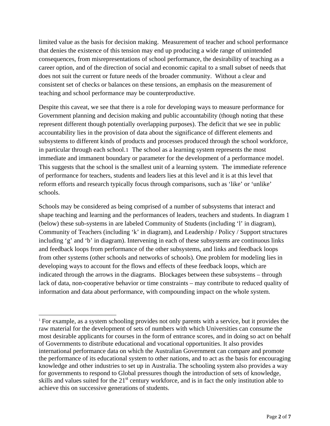limited value as the basis for decision making. Measurement of teacher and school performance that denies the existence of this tension may end up producing a wide range of unintended consequences, from misrepresentations of school performance, the desirability of teaching as a career option, and of the direction of social and economic capital to a small subset of needs that does not suit the current or future needs of the broader community. Without a clear and consistent set of checks or balances on these tensions, an emphasis on the measurement of teaching and school performance may be counterproductive.

Despite this caveat, we see that there is a role for developing ways to measure performance for Government planning and decision making and public accountability (though noting that these represent different though potentially overlapping purposes). The deficit that we see in public accountability lies in the provision of data about the significance of different elements and subsystems to different kinds of products and processes produced through the school workforce, in particular through each school.[1](#page-1-0) The school as a learning system represents the most immediate and immanent boundary or parameter for the development of a performance model. This suggests that the school is the smallest unit of a learning system. The immediate reference of performance for teachers, students and leaders lies at this level and it is at this level that reform efforts and research typically focus through comparisons, such as 'like' or 'unlike' schools.

Schools may be considered as being comprised of a number of subsystems that interact and shape teaching and learning and the performances of leaders, teachers and students. In diagram 1 (below) these sub-systems in are labeled Community of Students (including 'l' in diagram), Community of Teachers (including 'k' in diagram), and Leadership / Policy / Support structures including 'g' and 'b' in diagram). Intervening in each of these subsystems are continuous links and feedback loops from performance of the other subsystems, and links and feedback loops from other systems (other schools and networks of schools). One problem for modeling lies in developing ways to account for the flows and effects of these feedback loops, which are indicated through the arrows in the diagrams. Blockages between these subsystems – through lack of data, non-cooperative behavior or time constraints – may contribute to reduced quality of information and data about performance, with compounding impact on the whole system.

<span id="page-2-0"></span> $\overline{a}$ 

<sup>&</sup>lt;sup>1</sup> For example, as a system schooling provides not only parents with a service, but it provides the raw material for the development of sets of numbers with which Universities can consume the most desirable applicants for courses in the form of entrance scores, and in doing so act on behalf of Governments to distribute educational and vocational opportunities. It also provides international performance data on which the Australian Government can compare and promote the performance of its educational system to other nations, and to act as the basis for encouraging knowledge and other industries to set up in Australia. The schooling system also provides a way for governments to respond to Global pressures though the introduction of sets of knowledge, skills and values suited for the  $21<sup>st</sup>$  century workforce, and is in fact the only institution able to achieve this on successive generations of students.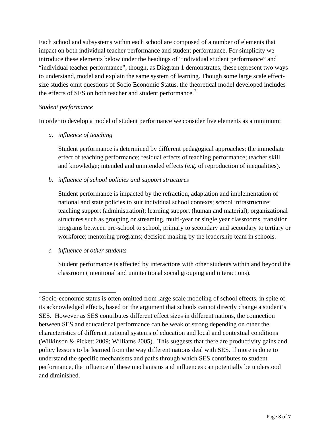Each school and subsystems within each school are composed of a number of elements that impact on both individual teacher performance and student performance. For simplicity we introduce these elements below under the headings of "individual student performance" and "individual teacher performance", though, as Diagram 1 demonstrates, these represent two ways to understand, model and explain the same system of learning. Though some large scale effectsize studies omit questions of Socio Economic Status, the theoretical model developed includes the effects of SES on both teacher and student performance.<sup>[2](#page-2-0)</sup>

#### *Student performance*

In order to develop a model of student performance we consider five elements as a minimum:

*a. influence of teaching* 

Student performance is determined by different pedagogical approaches; the immediate effect of teaching performance; residual effects of teaching performance; teacher skill and knowledge; intended and unintended effects (e.g. of reproduction of inequalities).

*b. influence of school policies and support structures* 

Student performance is impacted by the refraction, adaptation and implementation of national and state policies to suit individual school contexts; school infrastructure; teaching support (administration); learning support (human and material); organizational structures such as grouping or streaming, multi-year or single year classrooms, transition programs between pre-school to school, primary to secondary and secondary to tertiary or workforce; mentoring programs; decision making by the leadership team in schools.

*c. influence of other students* 

 $\overline{\phantom{a}}$ 

Student performance is affected by interactions with other students within and beyond the classroom (intentional and unintentional social grouping and interactions).

<span id="page-3-0"></span><sup>&</sup>lt;sup>2</sup> Socio-economic status is often omitted from large scale modeling of school effects, in spite of its acknowledged effects, based on the argument that schools cannot directly change a student's SES. However as SES contributes different effect sizes in different nations, the connection between SES and educational performance can be weak or strong depending on other the characteristics of different national systems of education and local and contextual conditions (Wilkinson & Pickett 2009; Williams 2005). This suggests that there are productivity gains and policy lessons to be learned from the way different nations deal with SES. If more is done to understand the specific mechanisms and paths through which SES contributes to student performance, the influence of these mechanisms and influences can potentially be understood and diminished.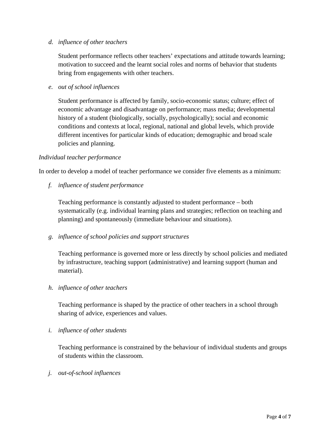#### *d. influence of other teachers*

Student performance reflects other teachers' expectations and attitude towards learning; motivation to succeed and the learnt social roles and norms of behavior that students bring from engagements with other teachers.

*e. out of school influences* 

Student performance is affected by family, socio-economic status; culture; effect of economic advantage and disadvantage on performance; mass media; developmental history of a student (biologically, socially, psychologically); social and economic conditions and contexts at local, regional, national and global levels, which provide different incentives for particular kinds of education; demographic and broad scale policies and planning.

#### *Individual teacher performance*

In order to develop a model of teacher performance we consider five elements as a minimum:

*f. influence of student performance* 

Teaching performance is constantly adjusted to student performance – both systematically (e.g. individual learning plans and strategies; reflection on teaching and planning) and spontaneously (immediate behaviour and situations).

### *g. influence of school policies and support structures*

Teaching performance is governed more or less directly by school policies and mediated by infrastructure, teaching support (administrative) and learning support (human and material).

### *h. influence of other teachers*

Teaching performance is shaped by the practice of other teachers in a school through sharing of advice, experiences and values.

*i. influence of other students* 

Teaching performance is constrained by the behaviour of individual students and groups of students within the classroom.

*j. out-of-school influences*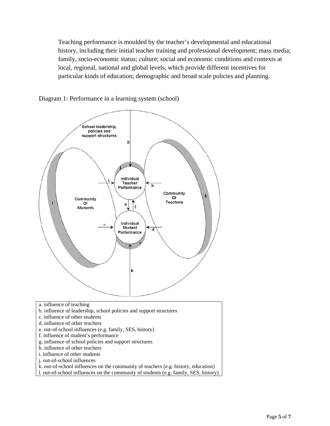Teaching performance is moulded by the teacher's developmental and educational history, including their initial teacher training and professional development; mass media; family, socio-economic status; culture; social and economic conditions and contexts at local, regional, national and global levels, which provide different incentives for particular kinds of education; demographic and broad scale policies and planning.



Diagram 1: Performance in a learning system (school)

- a. influence of teaching
- b. influence of leadership, school policies and support structures
- c. influence of other students
- d. influence of other teachers
- e. out-of-school influences (e.g. family, SES, history)
- f. influence of student's performance
- g. influence of school policies and support structures
- h. influence of other teachers
- i. influence of other students
- j. out-of-school influences
- k. out-of-school influences on the community of teachers (e.g. history, education)
- l. out-of-school influences on the community of students (e.g. family, SES, history)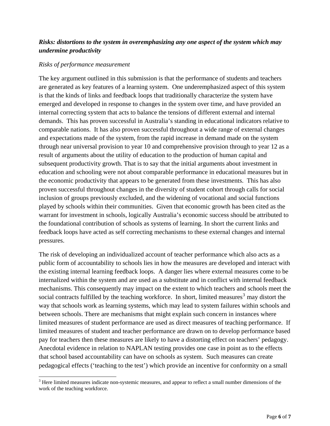## *Risks: distortions to the system in overemphasizing any one aspect of the system which may undermine productivity*

#### *Risks of performance measurement*

 $\overline{\phantom{a}}$ 

The key argument outlined in this submission is that the performance of students and teachers are generated as key features of a learning system. One underemphasized aspect of this system is that the kinds of links and feedback loops that traditionally characterize the system have emerged and developed in response to changes in the system over time, and have provided an internal correcting system that acts to balance the tensions of different external and internal demands. This has proven successful in Australia's standing in educational indicators relative to comparable nations. It has also proven successful throughout a wide range of external changes and expectations made of the system, from the rapid increase in demand made on the system through near universal provision to year 10 and comprehensive provision through to year 12 as a result of arguments about the utility of education to the production of human capital and subsequent productivity growth. That is to say that the initial arguments about investment in education and schooling were not about comparable performance in educational measures but in the economic productivity that appears to be generated from these investments. This has also proven successful throughout changes in the diversity of student cohort through calls for social inclusion of groups previously excluded, and the widening of vocational and social functions played by schools within their communities. Given that economic growth has been cited as the warrant for investment in schools, logically Australia's economic success should be attributed to the foundational contribution of schools as systems of learning. In short the current links and feedback loops have acted as self correcting mechanisms to these external changes and internal pressures.

The risk of developing an individualized account of teacher performance which also acts as a public form of accountability to schools lies in how the measures are developed and interact with the existing internal learning feedback loops. A danger lies where external measures come to be internalized within the system and are used as a substitute and in conflict with internal feedback mechanisms. This consequently may impact on the extent to which teachers and schools meet the social contracts fulfilled by the teaching workforce. In short, limited measures<sup>[3](#page-3-0)</sup> may distort the way that schools work as learning systems, which may lead to system failures within schools and between schools. There are mechanisms that might explain such concern in instances where limited measures of student performance are used as direct measures of teaching performance. If limited measures of student and teacher performance are drawn on to develop performance based pay for teachers then these measures are likely to have a distorting effect on teachers' pedagogy. Anecdotal evidence in relation to NAPLAN testing provides one case in point as to the effects that school based accountability can have on schools as system. Such measures can create pedagogical effects ('teaching to the test') which provide an incentive for conformity on a small

 $3$  Here limited measures indicate non-systemic measures, and appear to reflect a small number dimensions of the work of the teaching workforce.